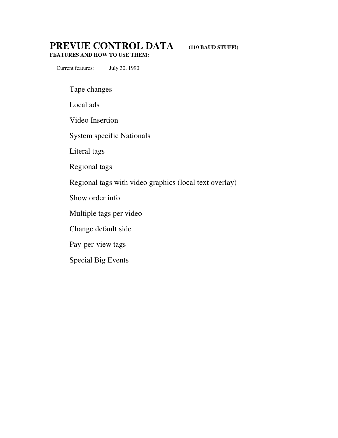# **PREVUE CONTROL DATA (110 BAUD STUFF!)**

**FEATURES AND HOW TO USE THEM:**

Current features: July 30, 1990

Tape changes

Local ads

Video Insertion

System specific Nationals

Literal tags

Regional tags

Regional tags with video graphics (local text overlay)

Show order info

Multiple tags per video

Change default side

Pay-per-view tags

Special Big Events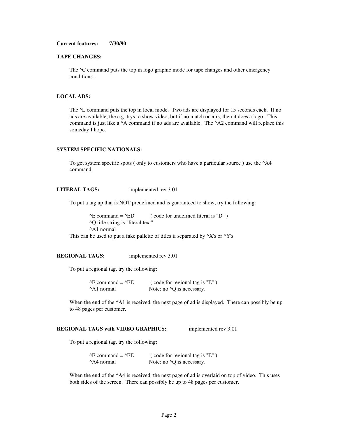### **Current features: 7/30/90**

#### **TAPE CHANGES:**

The  $\textdegree$ C command puts the top in logo graphic mode for tape changes and other emergency conditions.

#### **LOCAL ADS:**

The  $\Delta L$  command puts the top in local mode. Two ads are displayed for 15 seconds each. If no ads are available, the c.g. trys to show video, but if no match occurs, then it does a logo. This command is just like a ^A command if no ads are available. The ^A2 command will replace this someday I hope.

## **SYSTEM SPECIFIC NATIONALS:**

To get system specific spots ( only to customers who have a particular source ) use the ^A4 command.

### **LITERAL TAGS:** implemented rev 3.01

To put a tag up that is NOT predefined and is guaranteed to show, try the following:

 $^{\wedge}E$  command =  $^{\wedge}ED$  (code for undefined literal is "D") ^Q title string is "literal text" ^A1 normal This can be used to put a fake pallette of titles if separated by  $^{\wedge}X$ 's or  $^{\wedge}Y$ 's.

# **REGIONAL TAGS:** implemented rev 3.01

To put a regional tag, try the following:

| $^{\wedge}E$ command = $^{\wedge}EE$ | (code for regional tag is "E")    |
|--------------------------------------|-----------------------------------|
| ^A1 normal                           | Note: no $\sqrt{Q}$ is necessary. |

When the end of the  $\Delta$ 1 is received, the next page of ad is displayed. There can possibly be up to 48 pages per customer.

# **REGIONAL TAGS with VIDEO GRAPHICS:** implemented rev 3.01

To put a regional tag, try the following:

| $\triangle E$ command = $\triangle E$ | (code for regional tag is "E")    |
|---------------------------------------|-----------------------------------|
| A4 normal                             | Note: no $\sqrt{Q}$ is necessary. |

When the end of the  $\triangle A4$  is received, the next page of ad is overlaid on top of video. This uses both sides of the screen. There can possibly be up to 48 pages per customer.